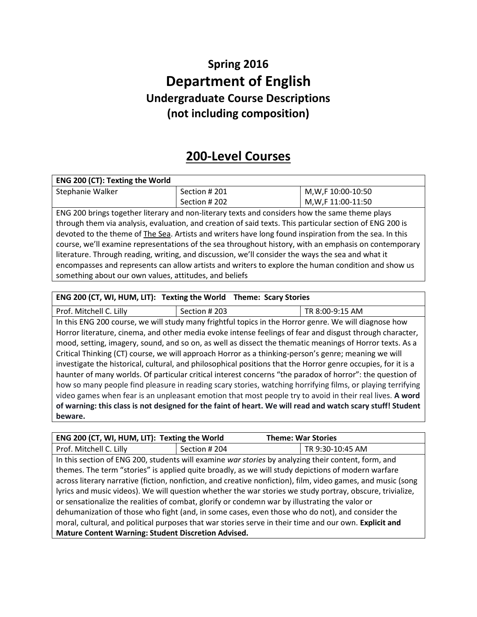## **Spring 2016 Department of English Undergraduate Course Descriptions (not including composition)**

## **200-Level Courses**

| ENG 200 (CT): Texting the World                                                                          |               |                     |
|----------------------------------------------------------------------------------------------------------|---------------|---------------------|
| Stephanie Walker                                                                                         | Section #201  | M, W, F 10:00-10:50 |
|                                                                                                          | Section # 202 | M, W, F 11:00-11:50 |
| ENG 200 brings together literary and non-literary texts and considers how the same theme plays           |               |                     |
| through them via analysis, evaluation, and creation of said texts. This particular section of ENG 200 is |               |                     |
| alamatan da da an an Tha Can Autista and wujung baya lang fawa famining fuan fuan da aa la tala          |               |                     |

devoted to the theme of **The Sea**. Artists and writers have long found inspiration from the sea. In this course, we'll examine representations of the sea throughout history, with an emphasis on contemporary literature. Through reading, writing, and discussion, we'll consider the ways the sea and what it encompasses and represents can allow artists and writers to explore the human condition and show us something about our own values, attitudes, and beliefs

### **ENG 200 (CT, WI, HUM, LIT): Texting the World Theme: Scary Stories**

Prof. Mitchell C. Lilly Section # 203 TR 8:00-9:15 AM In this ENG 200 course, we will study many frightful topics in the Horror genre. We will diagnose how Horror literature, cinema, and other media evoke intense feelings of fear and disgust through character, mood, setting, imagery, sound, and so on, as well as dissect the thematic meanings of Horror texts. As a Critical Thinking (CT) course, we will approach Horror as a thinking-person's genre; meaning we will investigate the historical, cultural, and philosophical positions that the Horror genre occupies, for it is a haunter of many worlds. Of particular critical interest concerns "the paradox of horror": the question of how so many people find pleasure in reading scary stories, watching horrifying films, or playing terrifying video games when fear is an unpleasant emotion that most people try to avoid in their real lives. **A word of warning: this class is not designed for the faint of heart. We will read and watch scary stuff! Student beware.**

| ENG 200 (CT, WI, HUM, LIT): Texting the World                                                                |                                                                                                    | <b>Theme: War Stories</b>                                                                           |  |
|--------------------------------------------------------------------------------------------------------------|----------------------------------------------------------------------------------------------------|-----------------------------------------------------------------------------------------------------|--|
| Prof. Mitchell C. Lilly                                                                                      | Section #204                                                                                       | TR 9:30-10:45 AM                                                                                    |  |
|                                                                                                              |                                                                                                    | In this section of ENG 200, students will examine war stories by analyzing their content, form, and |  |
|                                                                                                              | themes. The term "stories" is applied quite broadly, as we will study depictions of modern warfare |                                                                                                     |  |
| across literary narrative (fiction, nonfiction, and creative nonfiction), film, video games, and music (song |                                                                                                    |                                                                                                     |  |
| lyrics and music videos). We will question whether the war stories we study portray, obscure, trivialize,    |                                                                                                    |                                                                                                     |  |
| or sensationalize the realities of combat, glorify or condemn war by illustrating the valor or               |                                                                                                    |                                                                                                     |  |
| dehumanization of those who fight (and, in some cases, even those who do not), and consider the              |                                                                                                    |                                                                                                     |  |
| moral, cultural, and political purposes that war stories serve in their time and our own. Explicit and       |                                                                                                    |                                                                                                     |  |
| Mature Content Warning: Student Discretion Advised.                                                          |                                                                                                    |                                                                                                     |  |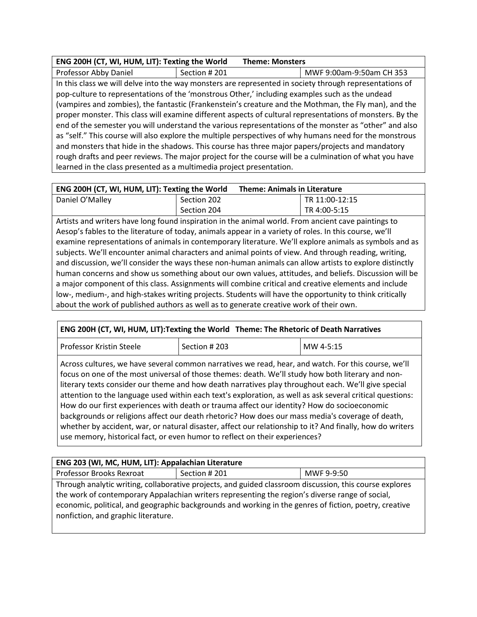### **ENG 200H (CT, WI, HUM, LIT): Texting the World Theme: Monsters**

| Professor Abby Daniel                                                                                     | Section #201                                                                                            | MWF 9:00am-9:50am CH 353 |  |
|-----------------------------------------------------------------------------------------------------------|---------------------------------------------------------------------------------------------------------|--------------------------|--|
|                                                                                                           | In this class we will delve into the way monsters are represented in society through representations of |                          |  |
|                                                                                                           | pop-culture to representations of the 'monstrous Other,' including examples such as the undead          |                          |  |
|                                                                                                           | (vampires and zombies), the fantastic (Frankenstein's creature and the Mothman, the Fly man), and the   |                          |  |
| proper monster. This class will examine different aspects of cultural representations of monsters. By the |                                                                                                         |                          |  |
| end of the semester you will understand the various representations of the monster as "other" and also    |                                                                                                         |                          |  |
| as "self." This course will also explore the multiple perspectives of why humans need for the monstrous   |                                                                                                         |                          |  |
|                                                                                                           | and monsters that hide in the shadows. This course has three major papers/projects and mandatory        |                          |  |
| rough drafts and peer reviews. The major project for the course will be a culmination of what you have    |                                                                                                         |                          |  |
| learned in the class presented as a multimedia project presentation.                                      |                                                                                                         |                          |  |

| ENG 200H (CT, WI, HUM, LIT): Texting the World |             | <b>Theme: Animals in Literature</b> |                |
|------------------------------------------------|-------------|-------------------------------------|----------------|
| Daniel O'Malley                                | Section 202 |                                     | TR 11:00-12:15 |
|                                                | Section 204 |                                     | TR 4:00-5:15   |

Artists and writers have long found inspiration in the animal world. From ancient cave paintings to Aesop's fables to the literature of today, animals appear in a variety of roles. In this course, we'll examine representations of animals in contemporary literature. We'll explore animals as symbols and as subjects. We'll encounter animal characters and animal points of view. And through reading, writing, and discussion, we'll consider the ways these non-human animals can allow artists to explore distinctly human concerns and show us something about our own values, attitudes, and beliefs. Discussion will be a major component of this class. Assignments will combine critical and creative elements and include low-, medium-, and high-stakes writing projects. Students will have the opportunity to think critically about the work of published authors as well as to generate creative work of their own.

### **ENG 200H (CT, WI, HUM, LIT):Texting the World Theme: The Rhetoric of Death Narratives**

| l Professor Kristin Steele | Section # 203 | MW 4-5:15<br>ں اے ، ل |
|----------------------------|---------------|-----------------------|
|----------------------------|---------------|-----------------------|

Across cultures, we have several common narratives we read, hear, and watch. For this course, we'll focus on one of the most universal of those themes: death. We'll study how both literary and nonliterary texts consider our theme and how death narratives play throughout each. We'll give special attention to the language used within each text's exploration, as well as ask several critical questions: How do our first experiences with death or trauma affect our identity? How do socioeconomic backgrounds or religions affect our death rhetoric? How does our mass media's coverage of death, whether by accident, war, or natural disaster, affect our relationship to it? And finally, how do writers use memory, historical fact, or even humor to reflect on their experiences?

### **ENG 203 (WI, MC, HUM, LIT): Appalachian Literature**

Professor Brooks Rexroat | Section # 201 | MWF 9-9:50

Through analytic writing, collaborative projects, and guided classroom discussion, this course explores the work of contemporary Appalachian writers representing the region's diverse range of social, economic, political, and geographic backgrounds and working in the genres of fiction, poetry, creative nonfiction, and graphic literature.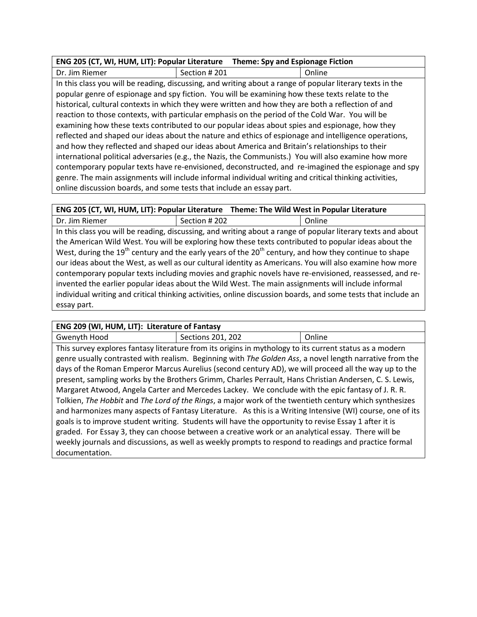| ENG 205 (CT, WI, HUM, LIT): Popular Literature Theme: Spy and Espionage Fiction |  |  |
|---------------------------------------------------------------------------------|--|--|
|                                                                                 |  |  |

Dr. Jim Riemer Section # 201 | Online In this class you will be reading, discussing, and writing about a range of popular literary texts in the popular genre of espionage and spy fiction. You will be examining how these texts relate to the historical, cultural contexts in which they were written and how they are both a reflection of and reaction to those contexts, with particular emphasis on the period of the Cold War. You will be examining how these texts contributed to our popular ideas about spies and espionage, how they reflected and shaped our ideas about the nature and ethics of espionage and intelligence operations, and how they reflected and shaped our ideas about America and Britain's relationships to their international political adversaries (e.g., the Nazis, the Communists.) You will also examine how more contemporary popular texts have re-envisioned, deconstructed, and re-imagined the espionage and spy genre. The main assignments will include informal individual writing and critical thinking activities, online discussion boards, and some tests that include an essay part.

Dr. Jim Riemer Section # 202 Online In this class you will be reading, discussing, and writing about a range of popular literary texts and about the American Wild West. You will be exploring how these texts contributed to popular ideas about the West, during the 19<sup>th</sup> century and the early years of the 20<sup>th</sup> century, and how they continue to shape our ideas about the West, as well as our cultural identity as Americans. You will also examine how more contemporary popular texts including movies and graphic novels have re-envisioned, reassessed, and reinvented the earlier popular ideas about the Wild West. The main assignments will include informal individual writing and critical thinking activities, online discussion boards, and some tests that include an essay part.

### **ENG 209 (WI, HUM, LIT): Literature of Fantasy**

| _____        | .                 |        |
|--------------|-------------------|--------|
| Gwenyth Hood | Sections 201, 202 | Inlini |
|              |                   |        |

This survey explores fantasy literature from its origins in mythology to its current status as a modern genre usually contrasted with realism. Beginning with *The Golden Ass*, a novel length narrative from the days of the Roman Emperor Marcus Aurelius (second century AD), we will proceed all the way up to the present, sampling works by the Brothers Grimm, Charles Perrault, Hans Christian Andersen, C. S. Lewis, Margaret Atwood, Angela Carter and Mercedes Lackey. We conclude with the epic fantasy of J. R. R. Tolkien, *The Hobbit* and *The Lord of the Rings*, a major work of the twentieth century which synthesizes and harmonizes many aspects of Fantasy Literature. As this is a Writing Intensive (WI) course, one of its goals is to improve student writing. Students will have the opportunity to revise Essay 1 after it is graded. For Essay 3, they can choose between a creative work or an analytical essay. There will be weekly journals and discussions, as well as weekly prompts to respond to readings and practice formal documentation.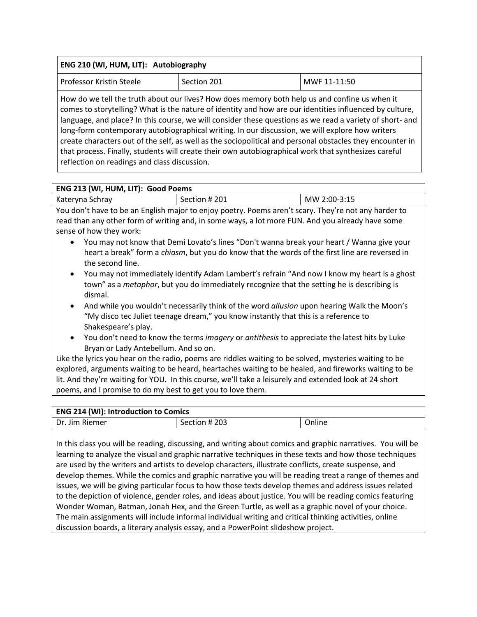| ENG 210 (WI, HUM, LIT): Autobiography                                                                                                                                                                                                                                                                                                                    |             |                                                                                                                                                                                                                                                                                                                                  |  |
|----------------------------------------------------------------------------------------------------------------------------------------------------------------------------------------------------------------------------------------------------------------------------------------------------------------------------------------------------------|-------------|----------------------------------------------------------------------------------------------------------------------------------------------------------------------------------------------------------------------------------------------------------------------------------------------------------------------------------|--|
| Professor Kristin Steele                                                                                                                                                                                                                                                                                                                                 | Section 201 | MWF 11-11:50                                                                                                                                                                                                                                                                                                                     |  |
| How do we tell the truth about our lives? How does memory both help us and confine us when it<br>long-form contemporary autobiographical writing. In our discussion, we will explore how writers<br>that process. Finally, students will create their own autobiographical work that synthesizes careful<br>reflection on readings and class discussion. |             | comes to storytelling? What is the nature of identity and how are our identities influenced by culture,<br>language, and place? In this course, we will consider these questions as we read a variety of short- and<br>create characters out of the self, as well as the sociopolitical and personal obstacles they encounter in |  |

### **ENG 213 (WI, HUM, LIT): Good Poems**

| Kateryna Schray | Section # 201 | MW 2:00-3:15 |
|-----------------|---------------|--------------|
|                 |               |              |

You don't have to be an English major to enjoy poetry. Poems aren't scary. They're not any harder to read than any other form of writing and, in some ways, a lot more FUN. And you already have some sense of how they work:

- You may not know that Demi Lovato's lines "Don't wanna break your heart / Wanna give your heart a break" form a *chiasm*, but you do know that the words of the first line are reversed in the second line.
- You may not immediately identify Adam Lambert's refrain "And now I know my heart is a ghost town" as a *metaphor*, but you do immediately recognize that the setting he is describing is dismal.
- And while you wouldn't necessarily think of the word *allusion* upon hearing Walk the Moon's "My disco tec Juliet teenage dream," you know instantly that this is a reference to Shakespeare's play.
- You don't need to know the terms *imagery* or *antithesis* to appreciate the latest hits by Luke Bryan or Lady Antebellum. And so on.

Like the lyrics you hear on the radio, poems are riddles waiting to be solved, mysteries waiting to be explored, arguments waiting to be heard, heartaches waiting to be healed, and fireworks waiting to be lit. And they're waiting for YOU. In this course, we'll take a leisurely and extended look at 24 short poems, and I promise to do my best to get you to love them.

| <b>ENG 214 (WI): Introduction to Comics</b> |               |        |
|---------------------------------------------|---------------|--------|
| Dr. Jim Riemer                              | Section # 203 | Online |

In this class you will be reading, discussing, and writing about comics and graphic narratives. You will be learning to analyze the visual and graphic narrative techniques in these texts and how those techniques are used by the writers and artists to develop characters, illustrate conflicts, create suspense, and develop themes. While the comics and graphic narrative you will be reading treat a range of themes and issues, we will be giving particular focus to how those texts develop themes and address issues related to the depiction of violence, gender roles, and ideas about justice. You will be reading comics featuring Wonder Woman, Batman, Jonah Hex, and the Green Turtle, as well as a graphic novel of your choice. The main assignments will include informal individual writing and critical thinking activities, online discussion boards, a literary analysis essay, and a PowerPoint slideshow project.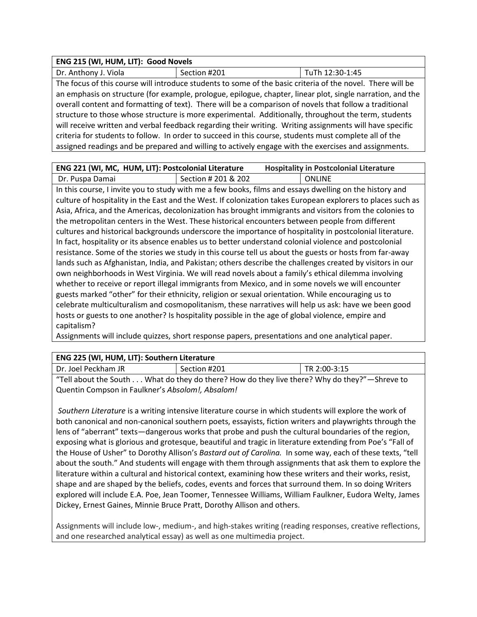| ENG 215 (WI, HUM, LIT): Good Novels                                                                        |              |                 |  |
|------------------------------------------------------------------------------------------------------------|--------------|-----------------|--|
| Dr. Anthony J. Viola                                                                                       | Section #201 | TuTh 12:30-1:45 |  |
| The focus of this course will introduce students to some of the basic criteria of the novel. There will be |              |                 |  |

an emphasis on structure (for example, prologue, epilogue, chapter, linear plot, single narration, and the overall content and formatting of text). There will be a comparison of novels that follow a traditional structure to those whose structure is more experimental. Additionally, throughout the term, students will receive written and verbal feedback regarding their writing. Writing assignments will have specific criteria for students to follow. In order to succeed in this course, students must complete all of the assigned readings and be prepared and willing to actively engage with the exercises and assignments.

| <b>ENG 221 (WI, MC, HUM, LIT): Postcolonial Literature</b> |                     | <b>Hospitality in Postcolonial Literature</b> |        |
|------------------------------------------------------------|---------------------|-----------------------------------------------|--------|
| Dr. Puspa Damai                                            | Section # 201 & 202 |                                               | ONLINE |

In this course, I invite you to study with me a few books, films and essays dwelling on the history and culture of hospitality in the East and the West. If colonization takes European explorers to places such as Asia, Africa, and the Americas, decolonization has brought immigrants and visitors from the colonies to the metropolitan centers in the West. These historical encounters between people from different cultures and historical backgrounds underscore the importance of hospitality in postcolonial literature. In fact, hospitality or its absence enables us to better understand colonial violence and postcolonial resistance. Some of the stories we study in this course tell us about the guests or hosts from far-away lands such as Afghanistan, India, and Pakistan; others describe the challenges created by visitors in our own neighborhoods in West Virginia. We will read novels about a family's ethical dilemma involving whether to receive or report illegal immigrants from Mexico, and in some novels we will encounter guests marked "other" for their ethnicity, religion or sexual orientation. While encouraging us to celebrate multiculturalism and cosmopolitanism, these narratives will help us ask: have we been good hosts or guests to one another? Is hospitality possible in the age of global violence, empire and capitalism?

Assignments will include quizzes, short response papers, presentations and one analytical paper.

### **ENG 225 (WI, HUM, LIT): Southern Literature**

| Dr. Joel Peckham JR                              | Section #201                                                                                 | TR 2:00-3:15 |
|--------------------------------------------------|----------------------------------------------------------------------------------------------|--------------|
|                                                  | "Tell about the South What do they do there? How do they live there? Why do they?"—Shreve to |              |
| Quentin Compson in Faulkner's Absolom!, Absalom! |                                                                                              |              |

*Southern Literature* is a writing intensive literature course in which students will explore the work of both canonical and non-canonical southern poets, essayists, fiction writers and playwrights through the lens of "aberrant" texts—dangerous works that probe and push the cultural boundaries of the region, exposing what is glorious and grotesque, beautiful and tragic in literature extending from Poe's "Fall of the House of Usher" to Dorothy Allison's *Bastard out of Carolina.* In some way, each of these texts, "tell about the south." And students will engage with them through assignments that ask them to explore the literature within a cultural and historical context, examining how these writers and their works, resist, shape and are shaped by the beliefs, codes, events and forces that surround them. In so doing Writers explored will include E.A. Poe, Jean Toomer, Tennessee Williams, William Faulkner, Eudora Welty, James Dickey, Ernest Gaines, Minnie Bruce Pratt, Dorothy Allison and others.

Assignments will include low-, medium-, and high-stakes writing (reading responses, creative reflections, and one researched analytical essay) as well as one multimedia project.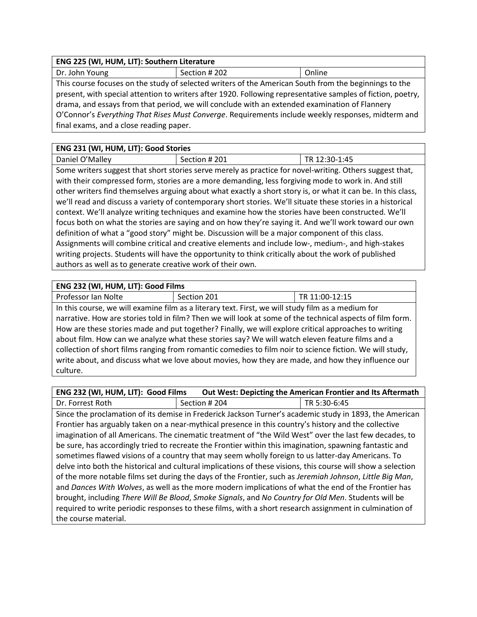| ENG 225 (WI, HUM, LIT): Southern Literature                                                           |               |        |  |
|-------------------------------------------------------------------------------------------------------|---------------|--------|--|
| Dr. John Young                                                                                        | Section # 202 | Online |  |
| This course focuses on the study of selected writers of the American South from the beginnings to the |               |        |  |

present, with special attention to writers after 1920. Following representative samples of fiction, poetry, drama, and essays from that period, we will conclude with an extended examination of Flannery O'Connor's *Everything That Rises Must Converge*. Requirements include weekly responses, midterm and final exams, and a close reading paper.

| ENG 231 (WI, HUM, LIT): Good Stories                                                                  |                                                                                                              |               |  |  |
|-------------------------------------------------------------------------------------------------------|--------------------------------------------------------------------------------------------------------------|---------------|--|--|
| Daniel O'Malley                                                                                       | Section # 201                                                                                                | TR 12:30-1:45 |  |  |
|                                                                                                       | Some writers suggest that short stories serve merely as practice for novel-writing. Others suggest that,     |               |  |  |
|                                                                                                       | with their compressed form, stories are a more demanding, less forgiving mode to work in. And still          |               |  |  |
|                                                                                                       | other writers find themselves arguing about what exactly a short story is, or what it can be. In this class, |               |  |  |
|                                                                                                       | we'll read and discuss a variety of contemporary short stories. We'll situate these stories in a historical  |               |  |  |
| context. We'll analyze writing techniques and examine how the stories have been constructed. We'll    |                                                                                                              |               |  |  |
| focus both on what the stories are saying and on how they're saying it. And we'll work toward our own |                                                                                                              |               |  |  |
| definition of what a "good story" might be. Discussion will be a major component of this class.       |                                                                                                              |               |  |  |
|                                                                                                       | Assignments will combine critical and creative elements and include low-, medium-, and high-stakes           |               |  |  |
|                                                                                                       | writing projects. Students will have the opportunity to think critically about the work of published         |               |  |  |
| authors as well as to generate creative work of their own.                                            |                                                                                                              |               |  |  |

### **ENG 232 (WI, HUM, LIT): Good Films**

| Professor Ian Nolte | Section 201 | TR 11:00-12:15 |
|---------------------|-------------|----------------|
|                     |             |                |

In this course, we will examine film as a literary text. First, we will study film as a medium for narrative. How are stories told in film? Then we will look at some of the technical aspects of film form. How are these stories made and put together? Finally, we will explore critical approaches to writing about film. How can we analyze what these stories say? We will watch eleven feature films and a collection of short films ranging from romantic comedies to film noir to science fiction. We will study, write about, and discuss what we love about movies, how they are made, and how they influence our culture.

| ENG 232 (WI, HUM, LIT): Good Films |               | <b>Out West: Depicting the American Frontier and Its Aftermath</b> |
|------------------------------------|---------------|--------------------------------------------------------------------|
| Dr. Forrest Roth                   | Section # 204 | TR 5:30-6:45                                                       |

Since the proclamation of its demise in Frederick Jackson Turner's academic study in 1893, the American Frontier has arguably taken on a near-mythical presence in this country's history and the collective imagination of all Americans. The cinematic treatment of "the Wild West" over the last few decades, to be sure, has accordingly tried to recreate the Frontier within this imagination, spawning fantastic and sometimes flawed visions of a country that may seem wholly foreign to us latter-day Americans. To delve into both the historical and cultural implications of these visions, this course will show a selection of the more notable films set during the days of the Frontier, such as *Jeremiah Johnson*, *Little Big Man*, and *Dances With Wolves*, as well as the more modern implications of what the end of the Frontier has brought, including *There Will Be Blood*, *Smoke Signals*, and *No Country for Old Men*. Students will be required to write periodic responses to these films, with a short research assignment in culmination of the course material.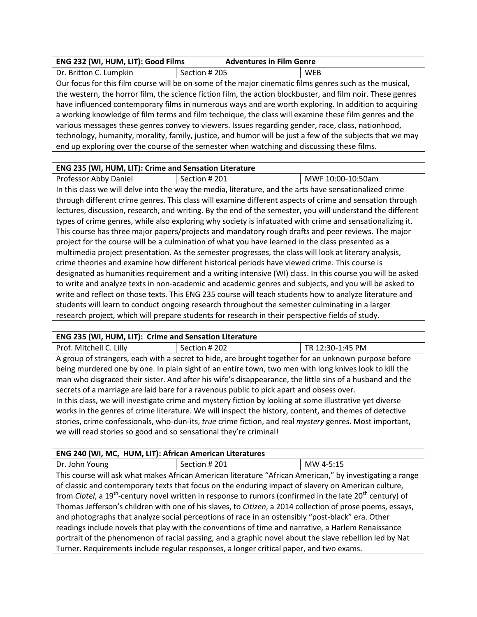| ENG 232 (WI, HUM, LIT): Good Films | <b>Adventures in Film Genre</b> |     |
|------------------------------------|---------------------------------|-----|
| Dr. Britton C. Lumpkin             | Section # 205                   | WEB |

Our focus for this film course will be on some of the major cinematic films genres such as the musical, the western, the horror film, the science fiction film, the action blockbuster, and film noir. These genres have influenced contemporary films in numerous ways and are worth exploring. In addition to acquiring a working knowledge of film terms and film technique, the class will examine these film genres and the various messages these genres convey to viewers. Issues regarding gender, race, class, nationhood, technology, humanity, morality, family, justice, and humor will be just a few of the subjects that we may end up exploring over the course of the semester when watching and discussing these films.

### **ENG 235 (WI, HUM, LIT): Crime and Sensation Literature**

Professor Abby Daniel | Section # 201 | MWF 10:00-10:50am

In this class we will delve into the way the media, literature, and the arts have sensationalized crime through different crime genres. This class will examine different aspects of crime and sensation through lectures, discussion, research, and writing. By the end of the semester, you will understand the different types of crime genres, while also exploring why society is infatuated with crime and sensationalizing it. This course has three major papers/projects and mandatory rough drafts and peer reviews. The major project for the course will be a culmination of what you have learned in the class presented as a multimedia project presentation. As the semester progresses, the class will look at literary analysis, crime theories and examine how different historical periods have viewed crime. This course is designated as humanities requirement and a writing intensive (WI) class. In this course you will be asked to write and analyze texts in non-academic and academic genres and subjects, and you will be asked to write and reflect on those texts. This ENG 235 course will teach students how to analyze literature and students will learn to conduct ongoing research throughout the semester culminating in a larger research project, which will prepare students for research in their perspective fields of study.

### **ENG 235 (WI, HUM, LIT): Crime and Sensation Literature**

| Prof. Mitchell C. Lilly                                                                                  | Section # 202                                                                                            | TR 12:30-1:45 PM |  |
|----------------------------------------------------------------------------------------------------------|----------------------------------------------------------------------------------------------------------|------------------|--|
|                                                                                                          | A group of strangers, each with a secret to hide, are brought together for an unknown purpose before     |                  |  |
|                                                                                                          | being murdered one by one. In plain sight of an entire town, two men with long knives look to kill the   |                  |  |
|                                                                                                          | man who disgraced their sister. And after his wife's disappearance, the little sins of a husband and the |                  |  |
| secrets of a marriage are laid bare for a ravenous public to pick apart and obsess over.                 |                                                                                                          |                  |  |
| In this class, we will investigate crime and mystery fiction by looking at some illustrative yet diverse |                                                                                                          |                  |  |
| works in the genres of crime literature. We will inspect the history, content, and themes of detective   |                                                                                                          |                  |  |
|                                                                                                          | stories, crime confessionals, who-dun-its, true crime fiction, and real mystery genres. Most important,  |                  |  |
| we will read stories so good and so sensational they're criminal!                                        |                                                                                                          |                  |  |

### **ENG 240 (WI, MC, HUM, LIT): African American Literatures**

Dr. John Young  $\vert$  Section # 201 MW 4-5:15

This course will ask what makes African American literature "African American," by investigating a range of classic and contemporary texts that focus on the enduring impact of slavery on American culture, from *Clotel*, a 19<sup>th</sup>-century novel written in response to rumors (confirmed in the late 20<sup>th</sup> century) of Thomas Jefferson's children with one of his slaves, to *Citizen*, a 2014 collection of prose poems, essays, and photographs that analyze social perceptions of race in an ostensibly "post-black" era. Other readings include novels that play with the conventions of time and narrative, a Harlem Renaissance portrait of the phenomenon of racial passing, and a graphic novel about the slave rebellion led by Nat Turner. Requirements include regular responses, a longer critical paper, and two exams.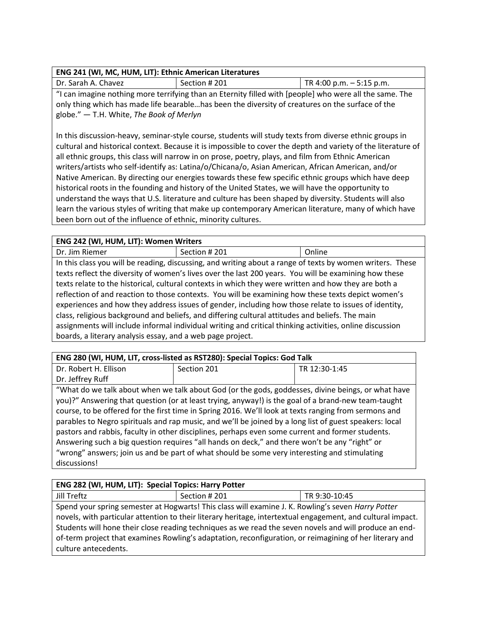### **ENG 241 (WI, MC, HUM, LIT): Ethnic American Literatures**

| Dr. Sarah A. Chavez | Section # 201                                                                                       | $ITR$ 4:00 p.m. $-$ 5:15 p.m. |
|---------------------|-----------------------------------------------------------------------------------------------------|-------------------------------|
|                     | I can imagine nothing more terrifying than an Eternity filled with [neonle] who were all the same T |                               |

"I can imagine nothing more terrifying than an Eternity filled with [people] who were all the same. The only thing which has made life bearable…has been the diversity of creatures on the surface of the globe." ― T.H. White, *The Book of Merlyn*

In this discussion-heavy, seminar-style course, students will study texts from diverse ethnic groups in cultural and historical context. Because it is impossible to cover the depth and variety of the literature of all ethnic groups, this class will narrow in on prose, poetry, plays, and film from Ethnic American writers/artists who self-identify as: Latina/o/Chicana/o, Asian American, African American, and/or Native American. By directing our energies towards these few specific ethnic groups which have deep historical roots in the founding and history of the United States, we will have the opportunity to understand the ways that U.S. literature and culture has been shaped by diversity. Students will also learn the various styles of writing that make up contemporary American literature, many of which have been born out of the influence of ethnic, minority cultures.

### **ENG 242 (WI, HUM, LIT): Women Writers**

| Dr     |  | _______ |                   |  |  |
|--------|--|---------|-------------------|--|--|
| .<br>. |  |         | $\cdot\cdot\cdot$ |  |  |

In this class you will be reading, discussing, and writing about a range of texts by women writers. These texts reflect the diversity of women's lives over the last 200 years. You will be examining how these texts relate to the historical, cultural contexts in which they were written and how they are both a reflection of and reaction to those contexts. You will be examining how these texts depict women's experiences and how they address issues of gender, including how those relate to issues of identity, class, religious background and beliefs, and differing cultural attitudes and beliefs. The main assignments will include informal individual writing and critical thinking activities, online discussion boards, a literary analysis essay, and a web page project.

| ENG 280 (WI, HUM, LIT, cross-listed as RST280): Special Topics: God Talk                                                                                                                                                                                                                                                                                                                                                      |             |               |  |
|-------------------------------------------------------------------------------------------------------------------------------------------------------------------------------------------------------------------------------------------------------------------------------------------------------------------------------------------------------------------------------------------------------------------------------|-------------|---------------|--|
| Dr. Robert H. Ellison                                                                                                                                                                                                                                                                                                                                                                                                         | Section 201 | TR 12:30-1:45 |  |
| Dr. Jeffrey Ruff                                                                                                                                                                                                                                                                                                                                                                                                              |             |               |  |
| "What do we talk about when we talk about God (or the gods, goddesses, divine beings, or what have<br>you)?" Answering that question (or at least trying, anyway!) is the goal of a brand-new team-taught<br>course, to be offered for the first time in Spring 2016. We'll look at texts ranging from sermons and<br>parables to Negro spirituals and rap music, and we'll be joined by a long list of guest speakers: local |             |               |  |
| pastors and rabbis, faculty in other disciplines, perhaps even some current and former students.<br>Answering such a big question requires "all hands on deck," and there won't be any "right" or<br>"wrong" answers; join us and be part of what should be some very interesting and stimulating<br>discussions!                                                                                                             |             |               |  |

| ENG 282 (WI, HUM, LIT): Special Topics: Harry Potter |                                                                                                                                                                                                                                                                                                                                                                                                                                        |               |  |  |
|------------------------------------------------------|----------------------------------------------------------------------------------------------------------------------------------------------------------------------------------------------------------------------------------------------------------------------------------------------------------------------------------------------------------------------------------------------------------------------------------------|---------------|--|--|
| Jill Treftz                                          | Section #201                                                                                                                                                                                                                                                                                                                                                                                                                           | TR 9:30-10:45 |  |  |
| culture antecedents.                                 | Spend your spring semester at Hogwarts! This class will examine J. K. Rowling's seven Harry Potter<br>novels, with particular attention to their literary heritage, intertextual engagement, and cultural impact.<br>Students will hone their close reading techniques as we read the seven novels and will produce an end-<br>of-term project that examines Rowling's adaptation, reconfiguration, or reimagining of her literary and |               |  |  |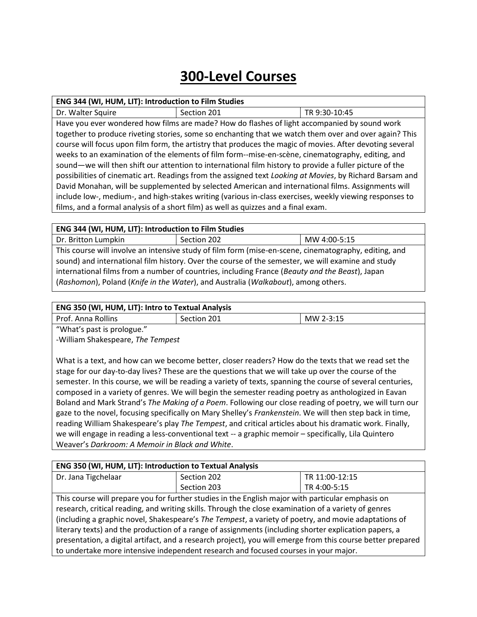# **300-Level Courses**

#### **ENG 344 (WI, HUM, LIT): Introduction to Film Studies**

Dr. Walter Squire Summer Section 201 Section 201 Have you ever wondered how films are made? How do flashes of light accompanied by sound work together to produce riveting stories, some so enchanting that we watch them over and over again? This course will focus upon film form, the artistry that produces the magic of movies. After devoting several weeks to an examination of the elements of film form--mise-en-scène, cinematography, editing, and sound—we will then shift our attention to international film history to provide a fuller picture of the possibilities of cinematic art. Readings from the assigned text *Looking at Movies*, by Richard Barsam and David Monahan, will be supplemented by selected American and international films. Assignments will include low-, medium-, and high-stakes writing (various in-class exercises, weekly viewing responses to films, and a formal analysis of a short film) as well as quizzes and a final exam.

#### **ENG 344 (WI, HUM, LIT): Introduction to Film Studies**

| Dr. Britton Lumpkin                                                                                   | Section 202 | MW 4:00-5:15 |
|-------------------------------------------------------------------------------------------------------|-------------|--------------|
| This course will involve an intensive study of film form (mise-en-scene, cinematography, editing, and |             |              |
| sound) and international film history. Over the course of the semester, we will examine and study     |             |              |
| international films from a number of countries, including France (Beauty and the Beast), Japan        |             |              |
| (Rashomon), Poland (Knife in the Water), and Australia (Walkabout), among others.                     |             |              |

### **ENG 350 (WI, HUM, LIT): Intro to Textual Analysis**

| <b>Prof. Anna Rollins</b> | ۳ | MW 3 |  |
|---------------------------|---|------|--|
| $\theta$                  |   |      |  |

"What's past is prologue."

-William Shakespeare, *The Tempest*

What is a text, and how can we become better, closer readers? How do the texts that we read set the stage for our day-to-day lives? These are the questions that we will take up over the course of the semester. In this course, we will be reading a variety of texts, spanning the course of several centuries, composed in a variety of genres. We will begin the semester reading poetry as anthologized in Eavan Boland and Mark Strand's *The Making of a Poem*. Following our close reading of poetry, we will turn our gaze to the novel, focusing specifically on Mary Shelley's *Frankenstein*. We will then step back in time, reading William Shakespeare's play *The Tempest*, and critical articles about his dramatic work. Finally, we will engage in reading a less-conventional text -- a graphic memoir - specifically, Lila Quintero Weaver's *Darkroom: A Memoir in Black and White*.

### **ENG 350 (WI, HUM, LIT): Introduction to Textual Analysis**

| Dr. Jana Tigchelaar                                                                                         | Section 202                                                                                       | TR 11:00-12:15 |
|-------------------------------------------------------------------------------------------------------------|---------------------------------------------------------------------------------------------------|----------------|
|                                                                                                             | Section 203                                                                                       | TR 4:00-5:15   |
|                                                                                                             | This course will prepare you for further studies in the English major with particular emphasis on |                |
| research, critical reading, and writing skills. Through the close examination of a variety of genres        |                                                                                                   |                |
| (including a graphic novel, Shakespeare's The Tempest, a variety of poetry, and movie adaptations of        |                                                                                                   |                |
| literary texts) and the production of a range of assignments (including shorter explication papers, a       |                                                                                                   |                |
| presentation, a digital artifact, and a research project), you will emerge from this course better prepared |                                                                                                   |                |
| to undertake more intensive independent research and focused courses in your major.                         |                                                                                                   |                |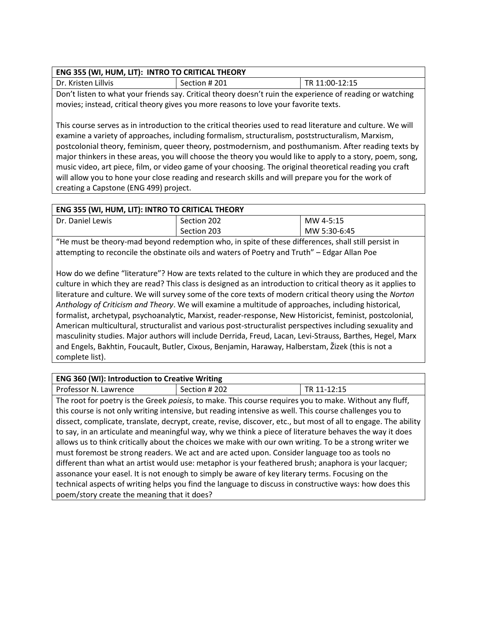### **ENG 355 (WI, HUM, LIT): INTRO TO CRITICAL THEORY**

| _ _ _ _ _ _ _ _ _                                                                                         |               |                |
|-----------------------------------------------------------------------------------------------------------|---------------|----------------|
| Dr. Kristen Lillvis                                                                                       | Section # 201 | TR 11:00-12:15 |
| Don't listen to what your friends say. Critical theory doesn't ruin the experience of reading or watching |               |                |

Don't listen to what your friends say. Critical theory doesn't ruin the experience of reading or watching movies; instead, critical theory gives you more reasons to love your favorite texts.

This course serves as in introduction to the critical theories used to read literature and culture. We will examine a variety of approaches, including formalism, structuralism, poststructuralism, Marxism, postcolonial theory, feminism, queer theory, postmodernism, and posthumanism. After reading texts by major thinkers in these areas, you will choose the theory you would like to apply to a story, poem, song, music video, art piece, film, or video game of your choosing. The original theoretical reading you craft will allow you to hone your close reading and research skills and will prepare you for the work of creating a Capstone (ENG 499) project.

| <b>ENG 355 (WI, HUM, LIT): INTRO TO CRITICAL THEORY</b> |             |              |
|---------------------------------------------------------|-------------|--------------|
| Dr. Daniel Lewis                                        | Section 202 | MW 4-5:15    |
|                                                         | Section 203 | MW 5:30-6:45 |

"He must be theory-mad beyond redemption who, in spite of these differences, shall still persist in attempting to reconcile the obstinate oils and waters of Poetry and Truth" – Edgar Allan Poe

How do we define "literature"? How are texts related to the culture in which they are produced and the culture in which they are read? This class is designed as an introduction to critical theory as it applies to literature and culture. We will survey some of the core texts of modern critical theory using the *Norton Anthology of Criticism and Theory*. We will examine a multitude of approaches, including historical, formalist, archetypal, psychoanalytic, Marxist, reader-response, New Historicist, feminist, postcolonial, American multicultural, structuralist and various post-structuralist perspectives including sexuality and masculinity studies. Major authors will include Derrida, Freud, Lacan, Levi-Strauss, Barthes, Hegel, Marx and Engels, Bakhtin, Foucault, Butler, Cixous, Benjamin, Haraway, Halberstam, Žizek (this is not a complete list).

## **ENG 360 (WI): Introduction to Creative Writing** Professor N. Lawrence Section # 202 TR 11-12:15 The root for poetry is the Greek *poiesis*, to make. This course requires you to make. Without any fluff,

this course is not only writing intensive, but reading intensive as well. This course challenges you to dissect, complicate, translate, decrypt, create, revise, discover, etc., but most of all to engage. The ability to say, in an articulate and meaningful way, why we think a piece of literature behaves the way it does allows us to think critically about the choices we make with our own writing. To be a strong writer we must foremost be strong readers. We act and are acted upon. Consider language too as tools no different than what an artist would use: metaphor is your feathered brush; anaphora is your lacquer; assonance your easel. It is not enough to simply be aware of key literary terms. Focusing on the technical aspects of writing helps you find the language to discuss in constructive ways: how does this poem/story create the meaning that it does?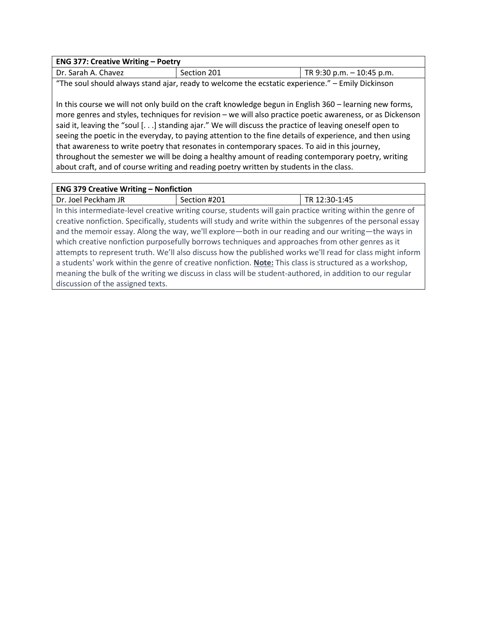| <b>ENG 377: Creative Writing - Poetry</b> |             |                              |
|-------------------------------------------|-------------|------------------------------|
| Dr. Sarah A. Chavez                       | Section 201 | TR $9:30$ p.m. $-10:45$ p.m. |
|                                           |             |                              |

"The soul should always stand ajar, ready to welcome the ecstatic experience." – Emily Dickinson

In this course we will not only build on the craft knowledge begun in English 360 – learning new forms, more genres and styles, techniques for revision – we will also practice poetic awareness, or as Dickenson said it, leaving the "soul [. . .] standing ajar." We will discuss the practice of leaving oneself open to seeing the poetic in the everyday, to paying attention to the fine details of experience, and then using that awareness to write poetry that resonates in contemporary spaces. To aid in this journey, throughout the semester we will be doing a healthy amount of reading contemporary poetry, writing about craft, and of course writing and reading poetry written by students in the class.

| <b>ENG 379 Creative Writing - Nonfiction</b>                                                              |                                                                                                             |               |
|-----------------------------------------------------------------------------------------------------------|-------------------------------------------------------------------------------------------------------------|---------------|
| Dr. Joel Peckham JR                                                                                       | Section #201                                                                                                | TR 12:30-1:45 |
|                                                                                                           | In this intermediate-level creative writing course, students will gain practice writing within the genre of |               |
|                                                                                                           | creative nonfiction. Specifically, students will study and write within the subgenres of the personal essay |               |
|                                                                                                           | and the memoir essay. Along the way, we'll explore—both in our reading and our writing—the ways in          |               |
| which creative nonfiction purposefully borrows techniques and approaches from other genres as it          |                                                                                                             |               |
| attempts to represent truth. We'll also discuss how the published works we'll read for class might inform |                                                                                                             |               |
| a students' work within the genre of creative nonfiction. Note: This class is structured as a workshop,   |                                                                                                             |               |
|                                                                                                           | meaning the bulk of the writing we discuss in class will be student-authored, in addition to our regular    |               |
| discussion of the assigned texts.                                                                         |                                                                                                             |               |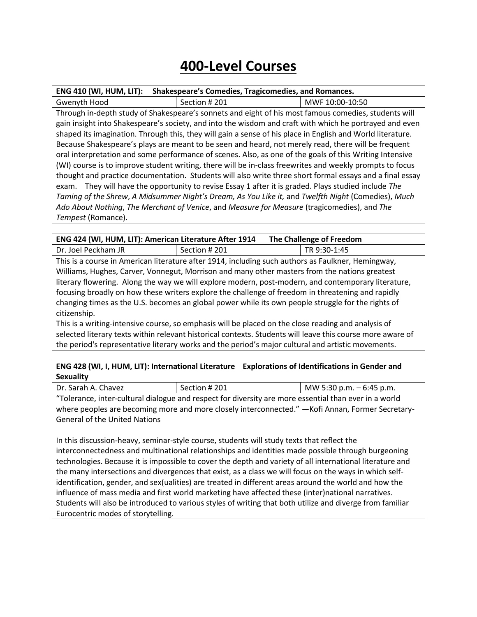# **400-Level Courses**

| <b>ENG 410 (WI, HUM, LIT):</b> | Shakespeare's Comedies, Tragicomedies, and Romances.                                                       |                 |
|--------------------------------|------------------------------------------------------------------------------------------------------------|-----------------|
| Gwenyth Hood                   | Section #201                                                                                               | MWF 10:00-10:50 |
|                                | Through in-depth study of Shakespeare's sonnets and eight of his most famous comedies, students will       |                 |
|                                | gain insight into Shakespeare's society, and into the wisdom and craft with which he portrayed and even    |                 |
|                                | shaped its imagination. Through this, they will gain a sense of his place in English and World literature. |                 |
|                                | Because Shakespeare's plays are meant to be seen and heard, not merely read, there will be frequent        |                 |
|                                | oral interpretation and some performance of scenes. Also, as one of the goals of this Writing Intensive    |                 |
|                                | (WI) course is to improve student writing, there will be in-class freewrites and weekly prompts to focus   |                 |
|                                | thought and practice documentation. Students will also write three short formal essays and a final essay   |                 |
| exam.                          | They will have the opportunity to revise Essay 1 after it is graded. Plays studied include The             |                 |
|                                | Taming of the Shrew, A Midsummer Night's Dream, As You Like it, and Twelfth Night (Comedies), Much         |                 |
|                                | Ado About Nothing, The Merchant of Venice, and Measure for Measure (tragicomedies), and The                |                 |
| Tempest (Romance).             |                                                                                                            |                 |

| ENG 424 (WI, HUM, LIT): American Literature After 1914                                              |              | The Challenge of Freedom                                                                           |  |
|-----------------------------------------------------------------------------------------------------|--------------|----------------------------------------------------------------------------------------------------|--|
| Dr. Joel Peckham JR                                                                                 | Section #201 | TR 9:30-1:45                                                                                       |  |
|                                                                                                     |              | This is a course in American literature after 1914, including such authors as Faulkner, Hemingway, |  |
| Williams, Hughes, Carver, Vonnegut, Morrison and many other masters from the nations greatest       |              |                                                                                                    |  |
| literary flowering. Along the way we will explore modern, post-modern, and contemporary literature, |              |                                                                                                    |  |
| focusing broadly on how these writers explore the challenge of freedom in threatening and rapidly   |              |                                                                                                    |  |
| changing times as the U.S. becomes an global power while its own people struggle for the rights of  |              |                                                                                                    |  |
| citizenship.                                                                                        |              |                                                                                                    |  |
| This is a writing-intensive course, so emphasis will be placed on the close reading and analysis of |              |                                                                                                    |  |

selected literary texts within relevant historical contexts. Students will leave this course more aware of the period's representative literary works and the period's major cultural and artistic movements.

**ENG 428 (WI, I, HUM, LIT): International Literature Explorations of Identifications in Gender and Sexuality**

| Dr.<br>Chavez<br>Sarah A. | #201<br>section. | $-6:45$ p.m.<br>.30 p.m.<br><b>MW</b> |
|---------------------------|------------------|---------------------------------------|
|                           |                  |                                       |

"Tolerance, inter-cultural dialogue and respect for diversity are more essential than ever in a world where peoples are becoming more and more closely interconnected." — Kofi Annan, Former Secretary-General of the United Nations

In this discussion-heavy, seminar-style course, students will study texts that reflect the interconnectedness and multinational relationships and identities made possible through burgeoning technologies. Because it is impossible to cover the depth and variety of all international literature and the many intersections and divergences that exist, as a class we will focus on the ways in which selfidentification, gender, and sex(ualities) are treated in different areas around the world and how the influence of mass media and first world marketing have affected these (inter)national narratives. Students will also be introduced to various styles of writing that both utilize and diverge from familiar Eurocentric modes of storytelling.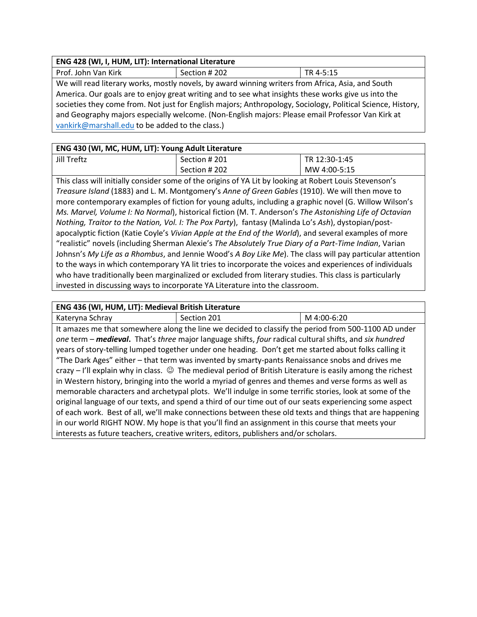| ENG 428 (WI, I, HUM, LIT): International Literature                                               |               |             |
|---------------------------------------------------------------------------------------------------|---------------|-------------|
| Prof. John Van Kirk                                                                               | Section # 202 | ' TR 4-5:15 |
| We will read literary works, mostly novels, by award winning writers from Africa, Asia, and South |               |             |

America. Our goals are to enjoy great writing and to see what insights these works give us into the societies they come from. Not just for English majors; Anthropology, Sociology, Political Science, History, and Geography majors especially welcome. (Non-English majors: Please email Professor Van Kirk at [vankirk@marshall.edu](mailto:vankirk@marshall.edu) to be added to the class.)

### **ENG 430 (WI, MC, HUM, LIT): Young Adult Literature**

| Jill Treftz | Section # 201 | TR 12:30-1:45 |
|-------------|---------------|---------------|
|             | Section # 202 | MW 4:00-5:15  |
|             |               |               |

This class will initially consider some of the origins of YA Lit by looking at Robert Louis Stevenson's *Treasure Island* (1883) and L. M. Montgomery's *Anne of Green Gables* (1910). We will then move to more contemporary examples of fiction for young adults, including a graphic novel (G. Willow Wilson's *Ms. Marvel, Volume I: No Normal*), historical fiction (M. T. Anderson's *The Astonishing Life of Octavian Nothing, Traitor to the Nation, Vol. I: The Pox Party*), fantasy (Malinda Lo's *Ash*), dystopian/postapocalyptic fiction (Katie Coyle's *Vivian Apple at the End of the World*), and several examples of more "realistic" novels (including Sherman Alexie's *The Absolutely True Diary of a Part-Time Indian*, Varian Johnsn's *My Life as a Rhombus*, and Jennie Wood's *A Boy Like Me*). The class will pay particular attention to the ways in which contemporary YA lit tries to incorporate the voices and experiences of individuals who have traditionally been marginalized or excluded from literary studies. This class is particularly invested in discussing ways to incorporate YA Literature into the classroom.

### **ENG 436 (WI, HUM, LIT): Medieval British Literature**

| Kateryna Schray                                                                                                    | Section 201                                                                                             | M 4:00-6:20 |
|--------------------------------------------------------------------------------------------------------------------|---------------------------------------------------------------------------------------------------------|-------------|
| It amazes me that somewhere along the line we decided to classify the period from 500-1100 AD under                |                                                                                                         |             |
|                                                                                                                    | one term - medieval. That's three major language shifts, four radical cultural shifts, and six hundred  |             |
| years of story-telling lumped together under one heading. Don't get me started about folks calling it              |                                                                                                         |             |
| "The Dark Ages" either – that term was invented by smarty-pants Renaissance snobs and drives me                    |                                                                                                         |             |
| crazy $-$ I'll explain why in class. $\odot$ The medieval period of British Literature is easily among the richest |                                                                                                         |             |
| in Western history, bringing into the world a myriad of genres and themes and verse forms as well as               |                                                                                                         |             |
| memorable characters and archetypal plots. We'll indulge in some terrific stories, look at some of the             |                                                                                                         |             |
| original language of our texts, and spend a third of our time out of our seats experiencing some aspect            |                                                                                                         |             |
|                                                                                                                    | of each work. Best of all, we'll make connections between these old texts and things that are happening |             |
| in our world RIGHT NOW. My hope is that you'll find an assignment in this course that meets your                   |                                                                                                         |             |
| interests as future teachers, creative writers, editors, publishers and/or scholars.                               |                                                                                                         |             |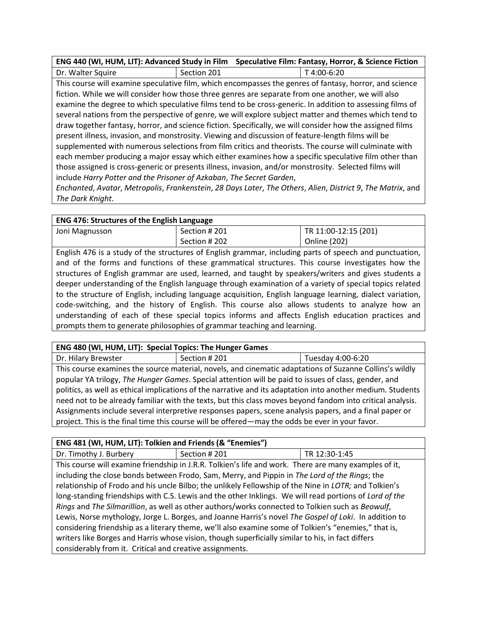| ENG 440 (WI, HUM, LIT): Advanced Study in Film Speculative Film: Fantasy, Horror, & Science Fiction |             |                     |
|-----------------------------------------------------------------------------------------------------|-------------|---------------------|
| Dr. Walter Squire                                                                                   | Section 201 | $\perp$ T 4:00-6:20 |

This course will examine speculative film, which encompasses the genres of fantasy, horror, and science fiction. While we will consider how those three genres are separate from one another, we will also examine the degree to which speculative films tend to be cross-generic. In addition to assessing films of several nations from the perspective of genre, we will explore subject matter and themes which tend to draw together fantasy, horror, and science fiction. Specifically, we will consider how the assigned films present illness, invasion, and monstrosity. Viewing and discussion of feature-length films will be supplemented with numerous selections from film critics and theorists. The course will culminate with each member producing a major essay which either examines how a specific speculative film other than those assigned is cross-generic or presents illness, invasion, and/or monstrosity. Selected films will include *Harry Potter and the Prisoner of Azkaban*, *The Secret Garden*,

*Enchanted*, *Avatar*, *Metropolis*, *Frankenstein*, *28 Days Later*, *The Others*, *Alien*, *District 9*, *The Matrix*, and *The Dark Knight*.

### **ENG 476: Structures of the English Language**

| .              |               |                      |
|----------------|---------------|----------------------|
| Joni Magnusson | Section # 201 | TR 11:00-12:15 (201) |
|                | Section # 202 | <b>Online (202)</b>  |

English 476 is a study of the structures of English grammar, including parts of speech and punctuation, and of the forms and functions of these grammatical structures. This course investigates how the structures of English grammar are used, learned, and taught by speakers/writers and gives students a deeper understanding of the English language through examination of a variety of special topics related to the structure of English, including language acquisition, English language learning, dialect variation, code-switching, and the history of English. This course also allows students to analyze how an understanding of each of these special topics informs and affects English education practices and prompts them to generate philosophies of grammar teaching and learning.

### **ENG 480 (WI, HUM, LIT): Special Topics: The Hunger Games**

Dr. Hilary Brewster **Section # 201** Section # 201 Tuesday 4:00-6:20

This course examines the source material, novels, and cinematic adaptations of Suzanne Collins's wildly popular YA trilogy, *The Hunger Games*. Special attention will be paid to issues of class, gender, and politics, as well as ethical implications of the narrative and its adaptation into another medium. Students need not to be already familiar with the texts, but this class moves beyond fandom into critical analysis. Assignments include several interpretive responses papers, scene analysis papers, and a final paper or project. This is the final time this course will be offered—may the odds be ever in your favor.

### **ENG 481 (WI, HUM, LIT): Tolkien and Friends (& "Enemies")**

Dr. Timothy J. Burbery Section # 201 TR 12:30-1:45 This course will examine friendship in J.R.R. Tolkien's life and work. There are many examples of it, including the close bonds between Frodo, Sam, Merry, and Pippin in *The Lord of the Rings*; the relationship of Frodo and his uncle Bilbo; the unlikely Fellowship of the Nine in *LOTR;* and Tolkien's long-standing friendships with C.S. Lewis and the other Inklings. We will read portions of *Lord of the Rings* and *The Silmarillion*, as well as other authors/works connected to Tolkien such as *Beowulf*, Lewis, Norse mythology, Jorge L. Borges, and Joanne Harris's novel *The Gospel of Loki*. In addition to considering friendship as a literary theme, we'll also examine some of Tolkien's "enemies," that is, writers like Borges and Harris whose vision, though superficially similar to his, in fact differs considerably from it. Critical and creative assignments.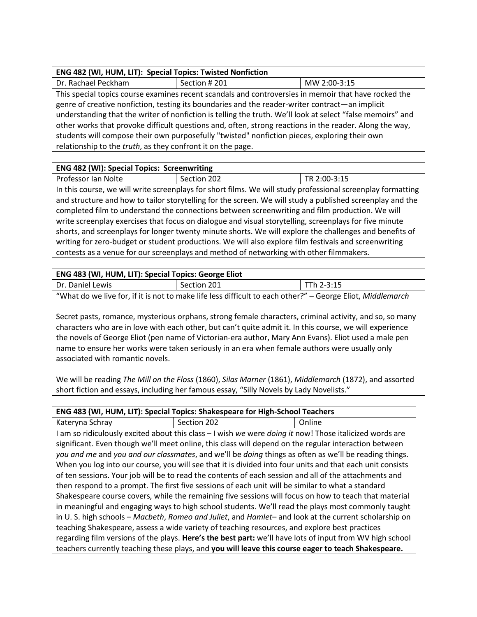| ENG 482 (WI, HUM, LIT): Special Topics: Twisted Nonfiction |
|------------------------------------------------------------|
|------------------------------------------------------------|

| Dr. Rachael Peckham                                                                                     | Section #201                                                                                               | MW 2:00-3:15 |
|---------------------------------------------------------------------------------------------------------|------------------------------------------------------------------------------------------------------------|--------------|
| This special topics course examines recent scandals and controversies in memoir that have rocked the    |                                                                                                            |              |
| genre of creative nonfiction, testing its boundaries and the reader-writer contract—an implicit         |                                                                                                            |              |
|                                                                                                         | understanding that the writer of nonfiction is telling the truth. We'll look at select "false memoirs" and |              |
| other works that provoke difficult questions and, often, strong reactions in the reader. Along the way, |                                                                                                            |              |
| students will compose their own purposefully "twisted" nonfiction pieces, exploring their own           |                                                                                                            |              |
| relationship to the <i>truth</i> , as they confront it on the page.                                     |                                                                                                            |              |

### **ENG 482 (WI): Special Topics: Screenwriting**

| Professor lan<br>202<br>2.4F<br>- TR 1<br>Nolte<br>ን:00-<br>Section<br>ں ⊥ ، ب<br>_ _ _ _<br>_____ |  |  |
|----------------------------------------------------------------------------------------------------|--|--|
|                                                                                                    |  |  |

In this course, we will write screenplays for short films. We will study professional screenplay formatting and structure and how to tailor storytelling for the screen. We will study a published screenplay and the completed film to understand the connections between screenwriting and film production. We will write screenplay exercises that focus on dialogue and visual storytelling, screenplays for five minute shorts, and screenplays for longer twenty minute shorts. We will explore the challenges and benefits of writing for zero-budget or student productions. We will also explore film festivals and screenwriting contests as a venue for our screenplays and method of networking with other filmmakers.

| ENG 483 (WI, HUM, LIT): Special Topics: George Eliot                                                       |             |              |
|------------------------------------------------------------------------------------------------------------|-------------|--------------|
| Dr. Daniel Lewis                                                                                           | Section 201 | $Tth 2-3:15$ |
| "What do we live for, if it is not to make life less difficult to each other?" - George Eliot, Middlemarch |             |              |

Secret pasts, romance, mysterious orphans, strong female characters, criminal activity, and so, so many characters who are in love with each other, but can't quite admit it. In this course, we will experience the novels of George Eliot (pen name of Victorian-era author, Mary Ann Evans). Eliot used a male pen name to ensure her works were taken seriously in an era when female authors were usually only associated with romantic novels.

We will be reading *The Mill on the Floss* (1860), *Silas Marner* (1861), *Middlemarch* (1872), and assorted short fiction and essays, including her famous essay, "Silly Novels by Lady Novelists."

| ENG 483 (WI, HUM, LIT): Special Topics: Shakespeare for High-School Teachers                             |                                                                                                           |        |
|----------------------------------------------------------------------------------------------------------|-----------------------------------------------------------------------------------------------------------|--------|
| Kateryna Schray                                                                                          | Section 202                                                                                               | Online |
|                                                                                                          | I am so ridiculously excited about this class - I wish we were doing it now! Those italicized words are   |        |
|                                                                                                          | significant. Even though we'll meet online, this class will depend on the regular interaction between     |        |
|                                                                                                          | you and me and you and our classmates, and we'll be doing things as often as we'll be reading things.     |        |
|                                                                                                          | When you log into our course, you will see that it is divided into four units and that each unit consists |        |
|                                                                                                          | of ten sessions. Your job will be to read the contents of each session and all of the attachments and     |        |
|                                                                                                          | then respond to a prompt. The first five sessions of each unit will be similar to what a standard         |        |
| Shakespeare course covers, while the remaining five sessions will focus on how to teach that material    |                                                                                                           |        |
| in meaningful and engaging ways to high school students. We'll read the plays most commonly taught       |                                                                                                           |        |
| in U.S. high schools - Macbeth, Romeo and Juliet, and Hamlet- and look at the current scholarship on     |                                                                                                           |        |
| teaching Shakespeare, assess a wide variety of teaching resources, and explore best practices            |                                                                                                           |        |
| regarding film versions of the plays. Here's the best part: we'll have lots of input from WV high school |                                                                                                           |        |
| teachers currently teaching these plays, and you will leave this course eager to teach Shakespeare.      |                                                                                                           |        |